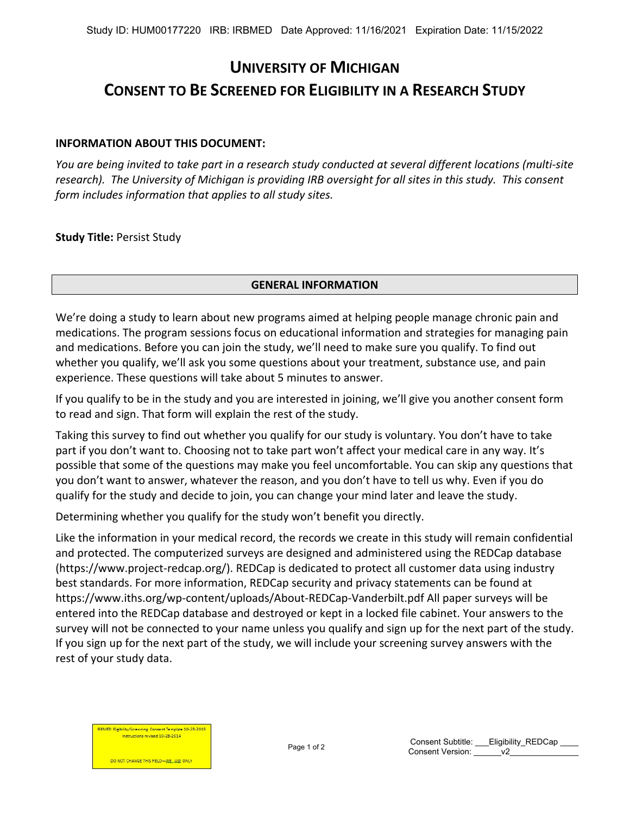# **UNIVERSITY OF MICHIGAN CONSENT TO BE SCREENED FOR ELIGIBILITY IN A RESEARCH STUDY**

# **INFORMATION ABOUT THIS DOCUMENT:**

*You are being invited to take part in a research study conducted at several different locations (multi-site research). The University of Michigan is providing IRB oversight for all sites in this study. This consent form includes information that applies to all study sites.* 

**Study Title:** Persist Study

# **GENERAL INFORMATION**

We're doing a study to learn about new programs aimed at helping people manage chronic pain and medications. The program sessions focus on educational information and strategies for managing pain and medications. Before you can join the study, we'll need to make sure you qualify. To find out whether you qualify, we'll ask you some questions about your treatment, substance use, and pain experience. These questions will take about 5 minutes to answer.

If you qualify to be in the study and you are interested in joining, we'll give you another consent form to read and sign. That form will explain the rest of the study.

Taking this survey to find out whether you qualify for our study is voluntary. You don't have to take part if you don't want to. Choosing not to take part won't affect your medical care in any way. It's possible that some of the questions may make you feel uncomfortable. You can skip any questions that you don't want to answer, whatever the reason, and you don't have to tell us why. Even if you do qualify for the study and decide to join, you can change your mind later and leave the study.

Determining whether you qualify for the study won't benefit you directly.

Like the information in your medical record, the records we create in this study will remain confidential and protected. The computerized surveys are designed and administered using the REDCap database (https://www.project-redcap.org/). REDCap is dedicated to protect all customer data using industry best standards. For more information, REDCap security and privacy statements can be found at https://www.iths.org/wp-content/uploads/About-REDCap-Vanderbilt.pdf All paper surveys will be entered into the REDCap database and destroyed or kept in a locked file cabinet. Your answers to the survey will not be connected to your name unless you qualify and sign up for the next part of the study. If you sign up for the next part of the study, we will include your screening survey answers with the rest of your study data.